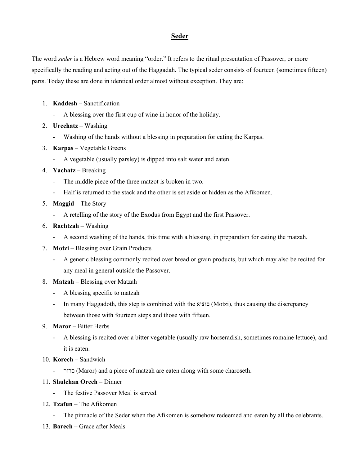## **Seder**

The word *seder* is a Hebrew word meaning "order." It refers to the ritual presentation of Passover, or more specifically the reading and acting out of the Haggadah. The typical seder consists of fourteen (sometimes fifteen) parts. Today these are done in identical order almost without exception. They are:

- 1. **Kaddesh** Sanctification
	- A blessing over the first cup of wine in honor of the holiday.
- 2. **Urechatz**  Washing
	- Washing of the hands without a blessing in preparation for eating the Karpas.
- 3. **Karpas** Vegetable Greens
	- A vegetable (usually parsley) is dipped into salt water and eaten.
- 4. **Yachatz** Breaking
	- The middle piece of the three matzot is broken in two.
	- Half is returned to the stack and the other is set aside or hidden as the Afikomen.
- 5. **Maggid** The Story
	- A retelling of the story of the Exodus from Egypt and the first Passover.
- 6. **Rachtzah** Washing
	- A second washing of the hands, this time with a blessing, in preparation for eating the matzah.
- 7. **Motzi** Blessing over Grain Products
	- A generic blessing commonly recited over bread or grain products, but which may also be recited for any meal in general outside the Passover.
- 8. **Matzah** Blessing over Matzah
	- A blessing specific to matzah
	- In many Haggadoth, this step is combined with the םוציא) Motzi), thus causing the discrepancy between those with fourteen steps and those with fifteen.
- 9. **Maror** Bitter Herbs
	- A blessing is recited over a bitter vegetable (usually raw horseradish, sometimes romaine lettuce), and it is eaten.
- 10. **Korech** Sandwich
	- םרור) Maror) and a piece of matzah are eaten along with some charoseth.
- 11. **Shulchan Orech** Dinner
	- The festive Passover Meal is served.
- 12. **Tzafun** The Afikomen
	- The pinnacle of the Seder when the Afikomen is somehow redeemed and eaten by all the celebrants.
- 13. **Barech** Grace after Meals